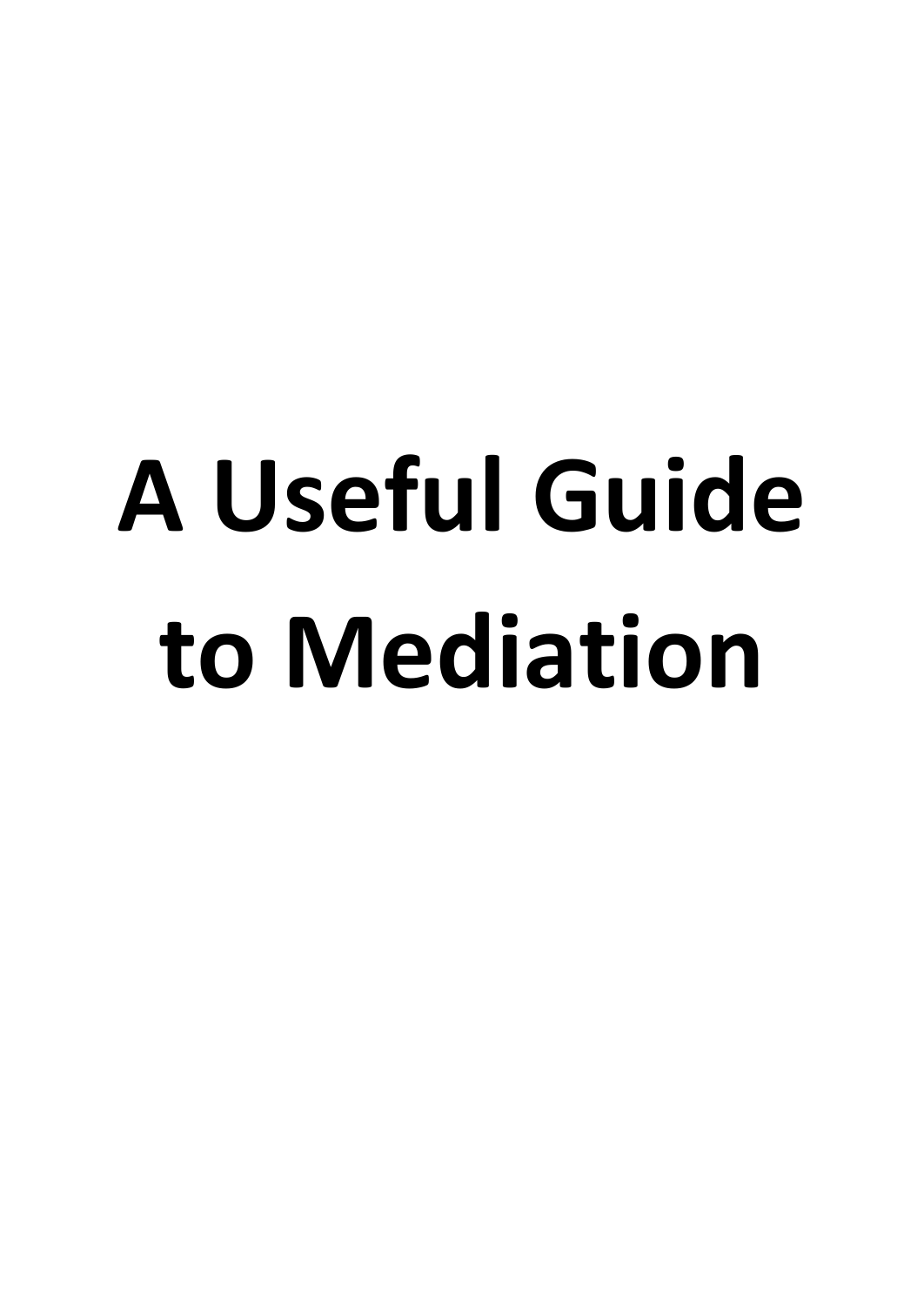# **A Useful Guide to Mediation**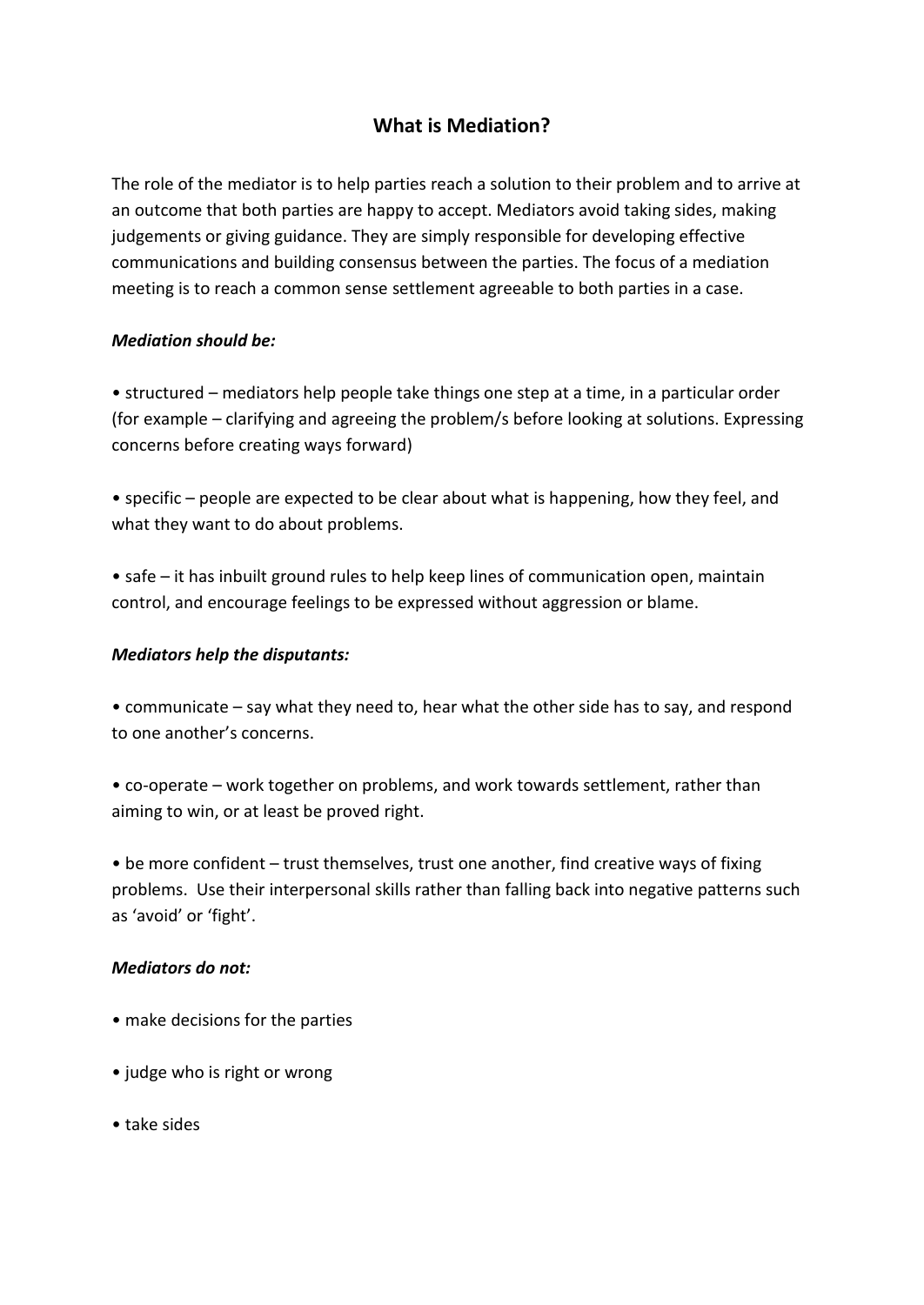# **What is Mediation?**

The role of the mediator is to help parties reach a solution to their problem and to arrive at an outcome that both parties are happy to accept. Mediators avoid taking sides, making judgements or giving guidance. They are simply responsible for developing effective communications and building consensus between the parties. The focus of a mediation meeting is to reach a common sense settlement agreeable to both parties in a case.

#### *Mediation should be:*

• structured – mediators help people take things one step at a time, in a particular order (for example – clarifying and agreeing the problem/s before looking at solutions. Expressing concerns before creating ways forward)

• specific – people are expected to be clear about what is happening, how they feel, and what they want to do about problems.

• safe – it has inbuilt ground rules to help keep lines of communication open, maintain control, and encourage feelings to be expressed without aggression or blame.

#### *Mediators help the disputants:*

• communicate – say what they need to, hear what the other side has to say, and respond to one another's concerns.

• co-operate – work together on problems, and work towards settlement, rather than aiming to win, or at least be proved right.

• be more confident – trust themselves, trust one another, find creative ways of fixing problems. Use their interpersonal skills rather than falling back into negative patterns such as 'avoid' or 'fight'.

#### *Mediators do not:*

- make decisions for the parties
- judge who is right or wrong
- take sides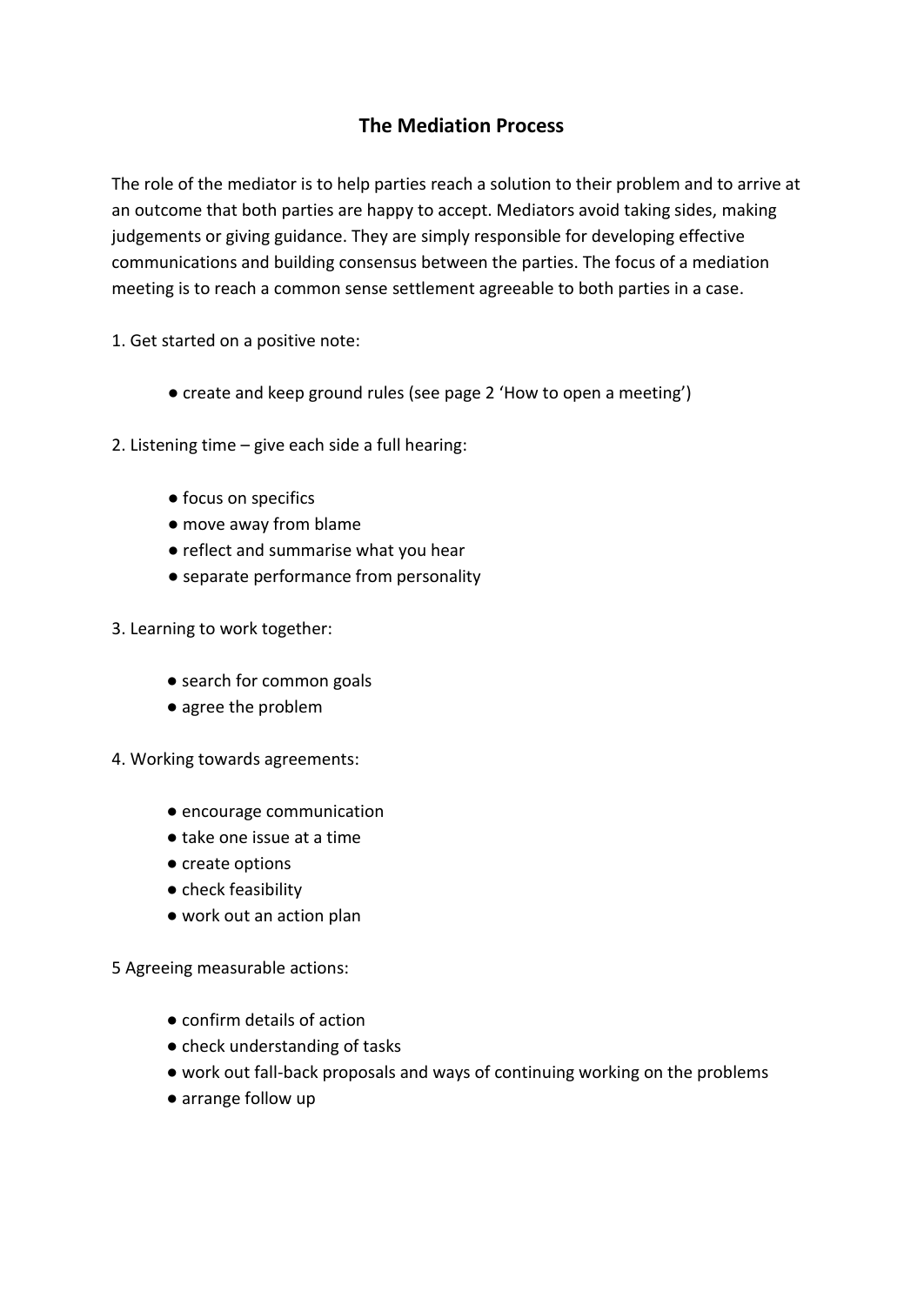# **The Mediation Process**

The role of the mediator is to help parties reach a solution to their problem and to arrive at an outcome that both parties are happy to accept. Mediators avoid taking sides, making judgements or giving guidance. They are simply responsible for developing effective communications and building consensus between the parties. The focus of a mediation meeting is to reach a common sense settlement agreeable to both parties in a case.

1. Get started on a positive note:

- create and keep ground rules (see page 2 'How to open a meeting')
- 2. Listening time give each side a full hearing:
	- focus on specifics
	- move away from blame
	- reflect and summarise what you hear
	- separate performance from personality
- 3. Learning to work together:
	- search for common goals
	- agree the problem
- 4. Working towards agreements:
	- encourage communication
	- take one issue at a time
	- create options
	- check feasibility
	- work out an action plan

5 Agreeing measurable actions:

- confirm details of action
- check understanding of tasks
- work out fall-back proposals and ways of continuing working on the problems
- arrange follow up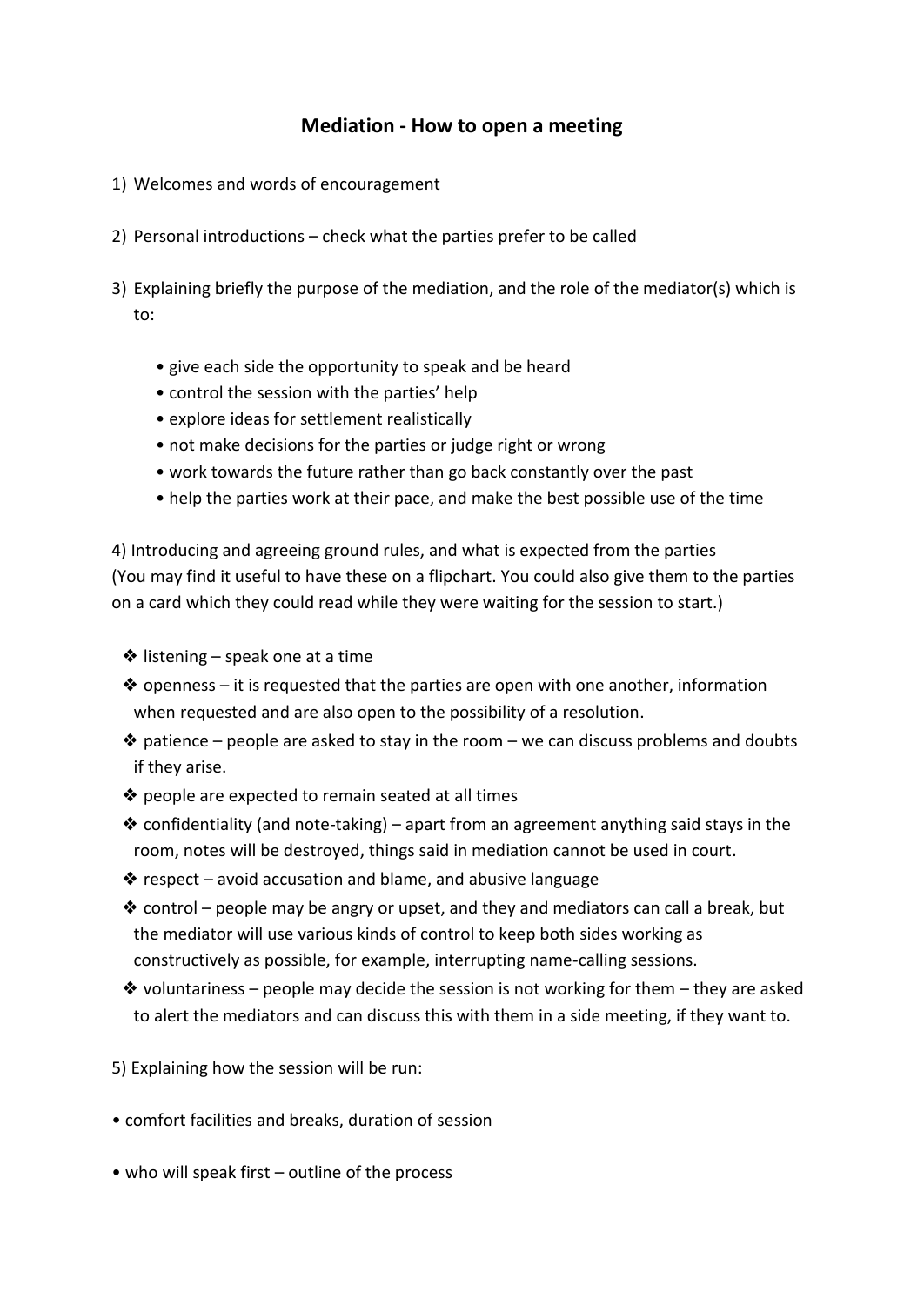### **Mediation - How to open a meeting**

- 1) Welcomes and words of encouragement
- 2) Personal introductions check what the parties prefer to be called
- 3) Explaining briefly the purpose of the mediation, and the role of the mediator(s) which is to:
	- give each side the opportunity to speak and be heard
	- control the session with the parties' help
	- explore ideas for settlement realistically
	- not make decisions for the parties or judge right or wrong
	- work towards the future rather than go back constantly over the past
	- help the parties work at their pace, and make the best possible use of the time

4) Introducing and agreeing ground rules, and what is expected from the parties (You may find it useful to have these on a flipchart. You could also give them to the parties on a card which they could read while they were waiting for the session to start.)

- $\triangleq$  listening speak one at a time
- $\triangle$  openness it is requested that the parties are open with one another, information when requested and are also open to the possibility of a resolution.
- $*$  patience people are asked to stay in the room we can discuss problems and doubts if they arise.
- ❖ people are expected to remain seated at all times
- $\triangleq$  confidentiality (and note-taking) apart from an agreement anything said stays in the room, notes will be destroyed, things said in mediation cannot be used in court.
- ❖ respect avoid accusation and blame, and abusive language
- $\triangle$  control people may be angry or upset, and they and mediators can call a break, but the mediator will use various kinds of control to keep both sides working as constructively as possible, for example, interrupting name-calling sessions.
- $\triangleq$  voluntariness people may decide the session is not working for them they are asked to alert the mediators and can discuss this with them in a side meeting, if they want to.

5) Explaining how the session will be run:

- comfort facilities and breaks, duration of session
- who will speak first outline of the process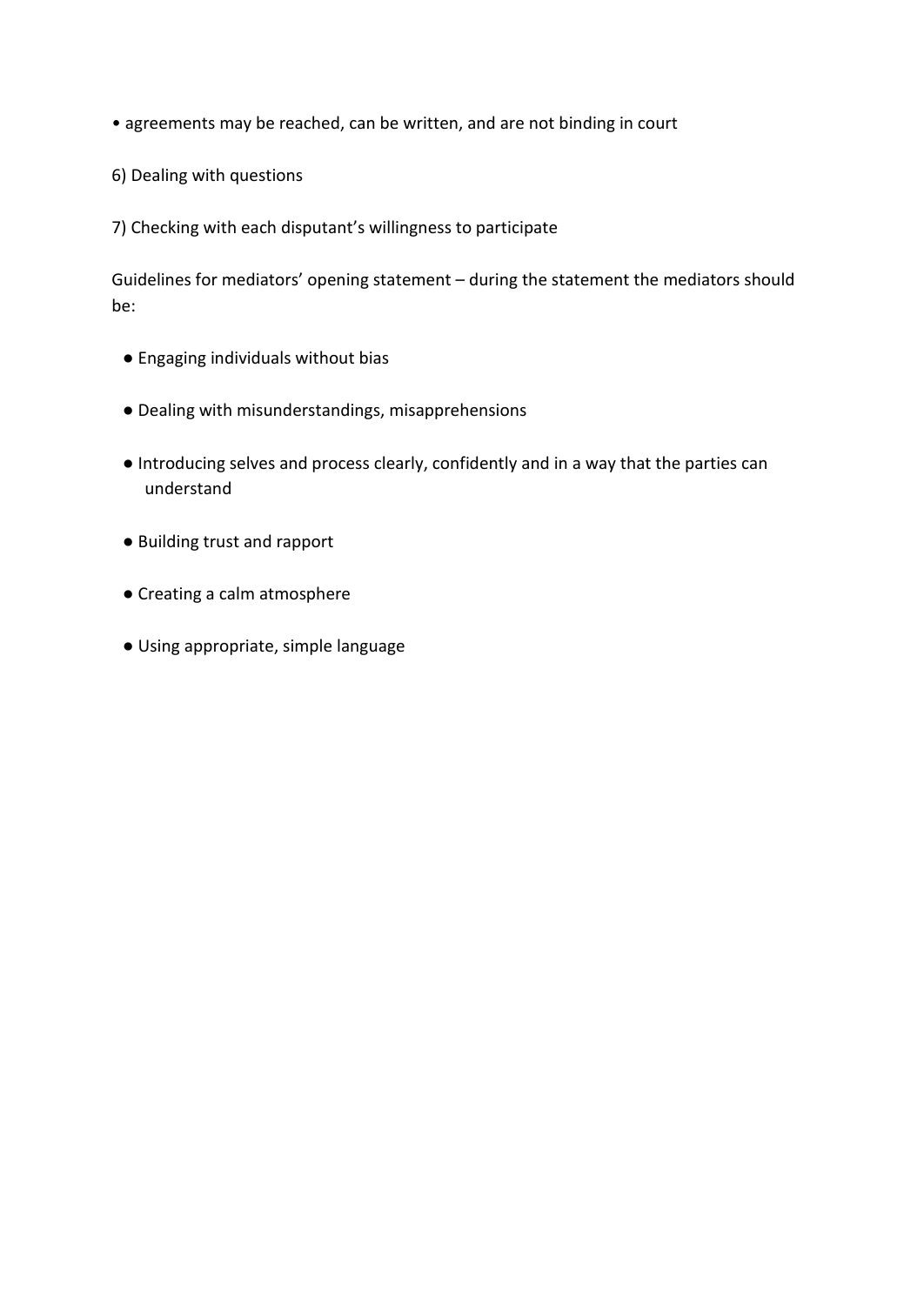- agreements may be reached, can be written, and are not binding in court
- 6) Dealing with questions
- 7) Checking with each disputant's willingness to participate

Guidelines for mediators' opening statement – during the statement the mediators should be:

- Engaging individuals without bias
- Dealing with misunderstandings, misapprehensions
- Introducing selves and process clearly, confidently and in a way that the parties can understand
- Building trust and rapport
- Creating a calm atmosphere
- Using appropriate, simple language